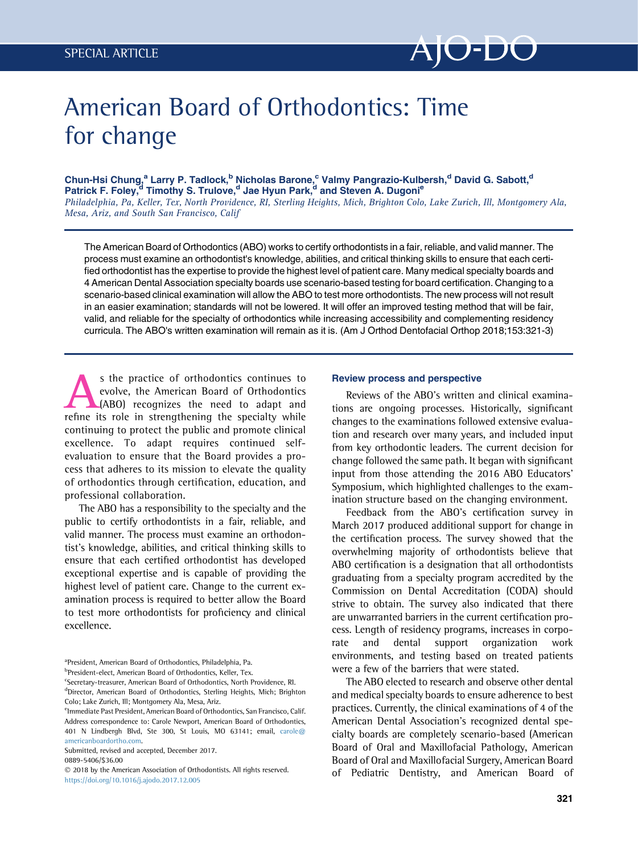

## American Board of Orthodontics: Time for change

Chun-Hsi Chung,<sup>a</sup> Larry P. Tadlock,<sup>b</sup> Nicholas Barone,<sup>c</sup> Valmy Pangrazio-Kulbersh,<sup>d</sup> David G. Sabott,<sup>d</sup> Patrick F. Foley,<sup>d</sup> Timothy S. Trulove,<sup>d</sup> Jae Hyun Park,<sup>d</sup> and Steven A. Dugoni<sup>e</sup> Philadelphia, Pa, Keller, Tex, North Providence, RI, Sterling Heights, Mich, Brighton Colo, Lake Zurich, Ill, Montgomery Ala, Mesa, Ariz, and South San Francisco, Calif

The American Board of Orthodontics (ABO) works to certify orthodontists in a fair, reliable, and valid manner. The process must examine an orthodontist's knowledge, abilities, and critical thinking skills to ensure that each certified orthodontist has the expertise to provide the highest level of patient care. Many medical specialty boards and 4 American Dental Association specialty boards use scenario-based testing for board certification. Changing to a scenario-based clinical examination will allow the ABO to test more orthodontists. The new process will not result in an easier examination; standards will not be lowered. It will offer an improved testing method that will be fair, valid, and reliable for the specialty of orthodontics while increasing accessibility and complementing residency curricula. The ABO's written examination will remain as it is. (Am J Orthod Dentofacial Orthop 2018;153:321-3)

s the practice of orthodontics continues to<br>evolve, the American Board of Orthodontics<br>(ABO) recognizes the need to adapt and<br>refine its role in strengthening the specialty while evolve, the American Board of Orthodontics (ABO) recognizes the need to adapt and refine its role in strengthening the specialty while continuing to protect the public and promote clinical excellence. To adapt requires continued selfevaluation to ensure that the Board provides a process that adheres to its mission to elevate the quality of orthodontics through certification, education, and professional collaboration.

The ABO has a responsibility to the specialty and the public to certify orthodontists in a fair, reliable, and valid manner. The process must examine an orthodontist's knowledge, abilities, and critical thinking skills to ensure that each certified orthodontist has developed exceptional expertise and is capable of providing the highest level of patient care. Change to the current examination process is required to better allow the Board to test more orthodontists for proficiency and clinical excellence.

<sup>b</sup>President-elect, American Board of Orthodontics, Keller, Tex.

0889-5406/\$36.00

## Review process and perspective

Reviews of the ABO's written and clinical examinations are ongoing processes. Historically, significant changes to the examinations followed extensive evaluation and research over many years, and included input from key orthodontic leaders. The current decision for change followed the same path. It began with significant input from those attending the 2016 ABO Educators' Symposium, which highlighted challenges to the examination structure based on the changing environment.

Feedback from the ABO's certification survey in March 2017 produced additional support for change in the certification process. The survey showed that the overwhelming majority of orthodontists believe that ABO certification is a designation that all orthodontists graduating from a specialty program accredited by the Commission on Dental Accreditation (CODA) should strive to obtain. The survey also indicated that there are unwarranted barriers in the current certification process. Length of residency programs, increases in corporate and dental support organization work environments, and testing based on treated patients were a few of the barriers that were stated.

The ABO elected to research and observe other dental and medical specialty boards to ensure adherence to best practices. Currently, the clinical examinations of 4 of the American Dental Association's recognized dental specialty boards are completely scenario-based (American Board of Oral and Maxillofacial Pathology, American Board of Oral and Maxillofacial Surgery, American Board of Pediatric Dentistry, and American Board of

<sup>&</sup>lt;sup>a</sup> President, American Board of Orthodontics, Philadelphia, Pa.

<sup>&</sup>lt;sup>c</sup>Secretary-treasurer, American Board of Orthodontics, North Providence, RI. <sup>d</sup>Director, American Board of Orthodontics, Sterling Heights, Mich; Brighton Colo; Lake Zurich, Ill; Montgomery Ala, Mesa, Ariz.

<sup>&</sup>lt;sup>e</sup>lmmediate Past President, American Board of Orthodontics, San Francisco, Calif. Address correspondence to: Carole Newport, American Board of Orthodontics, 401 N Lindbergh Blvd, Ste 300, St Louis, MO 63141; email, [carole@](mailto:carole@americanboardortho.com) [americanboardortho.com](mailto:carole@americanboardortho.com).

Submitted, revised and accepted, December 2017.

2018 by the American Association of Orthodontists. All rights reserved. <https://doi.org/10.1016/j.ajodo.2017.12.005>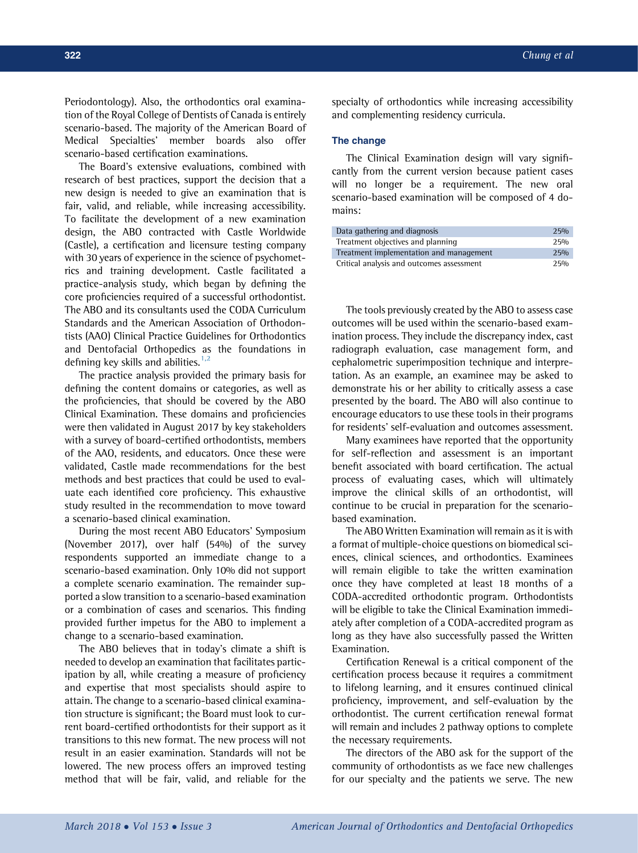Periodontology). Also, the orthodontics oral examination of the Royal College of Dentists of Canada is entirely scenario-based. The majority of the American Board of Medical Specialties' member boards also offer scenario-based certification examinations.

The Board's extensive evaluations, combined with research of best practices, support the decision that a new design is needed to give an examination that is fair, valid, and reliable, while increasing accessibility. To facilitate the development of a new examination design, the ABO contracted with Castle Worldwide (Castle), a certification and licensure testing company with 30 years of experience in the science of psychometrics and training development. Castle facilitated a practice-analysis study, which began by defining the core proficiencies required of a successful orthodontist. The ABO and its consultants used the CODA Curriculum Standards and the American Association of Orthodontists (AAO) Clinical Practice Guidelines for Orthodontics and Dentofacial Orthopedics as the foundations in defining key skills and abilities. $1,2$ 

The practice analysis provided the primary basis for defining the content domains or categories, as well as the proficiencies, that should be covered by the ABO Clinical Examination. These domains and proficiencies were then validated in August 2017 by key stakeholders with a survey of board-certified orthodontists, members of the AAO, residents, and educators. Once these were validated, Castle made recommendations for the best methods and best practices that could be used to evaluate each identified core proficiency. This exhaustive study resulted in the recommendation to move toward a scenario-based clinical examination.

During the most recent ABO Educators' Symposium (November 2017), over half (54%) of the survey respondents supported an immediate change to a scenario-based examination. Only 10% did not support a complete scenario examination. The remainder supported a slow transition to a scenario-based examination or a combination of cases and scenarios. This finding provided further impetus for the ABO to implement a change to a scenario-based examination.

The ABO believes that in today's climate a shift is needed to develop an examination that facilitates participation by all, while creating a measure of proficiency and expertise that most specialists should aspire to attain. The change to a scenario-based clinical examination structure is significant; the Board must look to current board-certified orthodontists for their support as it transitions to this new format. The new process will not result in an easier examination. Standards will not be lowered. The new process offers an improved testing method that will be fair, valid, and reliable for the

specialty of orthodontics while increasing accessibility and complementing residency curricula.

## The change

The Clinical Examination design will vary significantly from the current version because patient cases will no longer be a requirement. The new oral scenario-based examination will be composed of 4 domains:

| Data gathering and diagnosis              | 2.50 <sub>0</sub> |
|-------------------------------------------|-------------------|
| Treatment objectives and planning         | 2.50 <sub>0</sub> |
| Treatment implementation and management   | 2.5%              |
| Critical analysis and outcomes assessment | 2.50 <sub>0</sub> |

The tools previously created by the ABO to assess case outcomes will be used within the scenario-based examination process. They include the discrepancy index, cast radiograph evaluation, case management form, and cephalometric superimposition technique and interpretation. As an example, an examinee may be asked to demonstrate his or her ability to critically assess a case presented by the board. The ABO will also continue to encourage educators to use these tools in their programs for residents' self-evaluation and outcomes assessment.

Many examinees have reported that the opportunity for self-reflection and assessment is an important benefit associated with board certification. The actual process of evaluating cases, which will ultimately improve the clinical skills of an orthodontist, will continue to be crucial in preparation for the scenariobased examination.

The ABO Written Examination will remain as it is with a format of multiple-choice questions on biomedical sciences, clinical sciences, and orthodontics. Examinees will remain eligible to take the written examination once they have completed at least 18 months of a CODA-accredited orthodontic program. Orthodontists will be eligible to take the Clinical Examination immediately after completion of a CODA-accredited program as long as they have also successfully passed the Written Examination.

Certification Renewal is a critical component of the certification process because it requires a commitment to lifelong learning, and it ensures continued clinical proficiency, improvement, and self-evaluation by the orthodontist. The current certification renewal format will remain and includes 2 pathway options to complete the necessary requirements.

The directors of the ABO ask for the support of the community of orthodontists as we face new challenges for our specialty and the patients we serve. The new